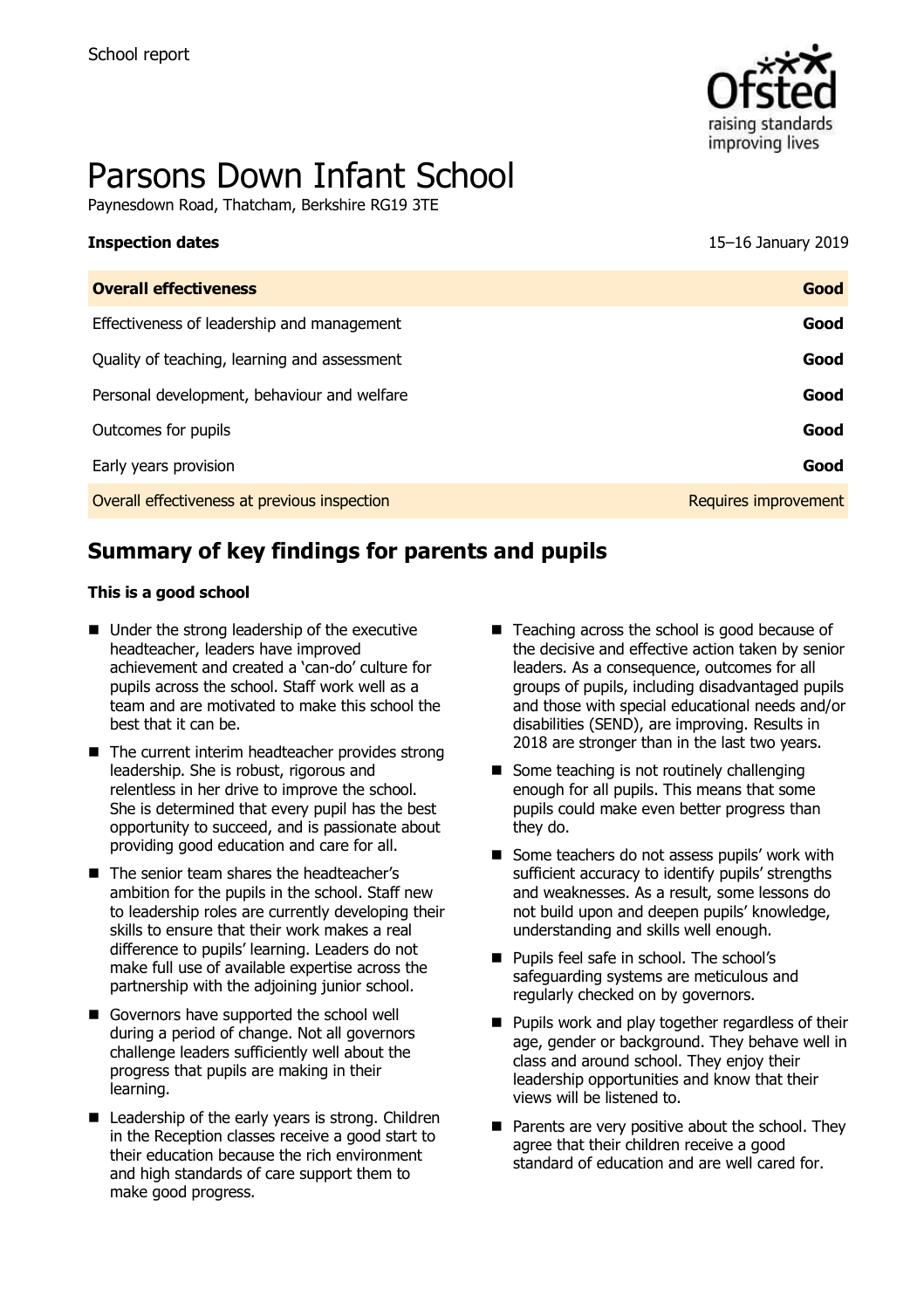

# Parsons Down Infant School

Paynesdown Road, Thatcham, Berkshire RG19 3TE

| <b>Inspection dates</b>                      | 15-16 January 2019   |
|----------------------------------------------|----------------------|
| <b>Overall effectiveness</b>                 | Good                 |
| Effectiveness of leadership and management   | Good                 |
| Quality of teaching, learning and assessment | Good                 |
| Personal development, behaviour and welfare  | Good                 |
| Outcomes for pupils                          | Good                 |
| Early years provision                        | Good                 |
| Overall effectiveness at previous inspection | Requires improvement |
|                                              |                      |

# **Summary of key findings for parents and pupils**

#### **This is a good school**

- Under the strong leadership of the executive headteacher, leaders have improved achievement and created a 'can-do' culture for pupils across the school. Staff work well as a team and are motivated to make this school the best that it can be.
- The current interim headteacher provides strong leadership. She is robust, rigorous and relentless in her drive to improve the school. She is determined that every pupil has the best opportunity to succeed, and is passionate about providing good education and care for all.
- The senior team shares the headteacher's ambition for the pupils in the school. Staff new to leadership roles are currently developing their skills to ensure that their work makes a real difference to pupils' learning. Leaders do not make full use of available expertise across the partnership with the adjoining junior school.
- Governors have supported the school well during a period of change. Not all governors challenge leaders sufficiently well about the progress that pupils are making in their learning.
- Leadership of the early years is strong. Children in the Reception classes receive a good start to their education because the rich environment and high standards of care support them to make good progress.
- Teaching across the school is good because of the decisive and effective action taken by senior leaders. As a consequence, outcomes for all groups of pupils, including disadvantaged pupils and those with special educational needs and/or disabilities (SEND), are improving. Results in 2018 are stronger than in the last two years.
- Some teaching is not routinely challenging enough for all pupils. This means that some pupils could make even better progress than they do.
- Some teachers do not assess pupils' work with sufficient accuracy to identify pupils' strengths and weaknesses. As a result, some lessons do not build upon and deepen pupils' knowledge, understanding and skills well enough.
- Pupils feel safe in school. The school's safeguarding systems are meticulous and regularly checked on by governors.
- **Pupils work and play together regardless of their** age, gender or background. They behave well in class and around school. They enjoy their leadership opportunities and know that their views will be listened to.
- $\blacksquare$  Parents are very positive about the school. They agree that their children receive a good standard of education and are well cared for.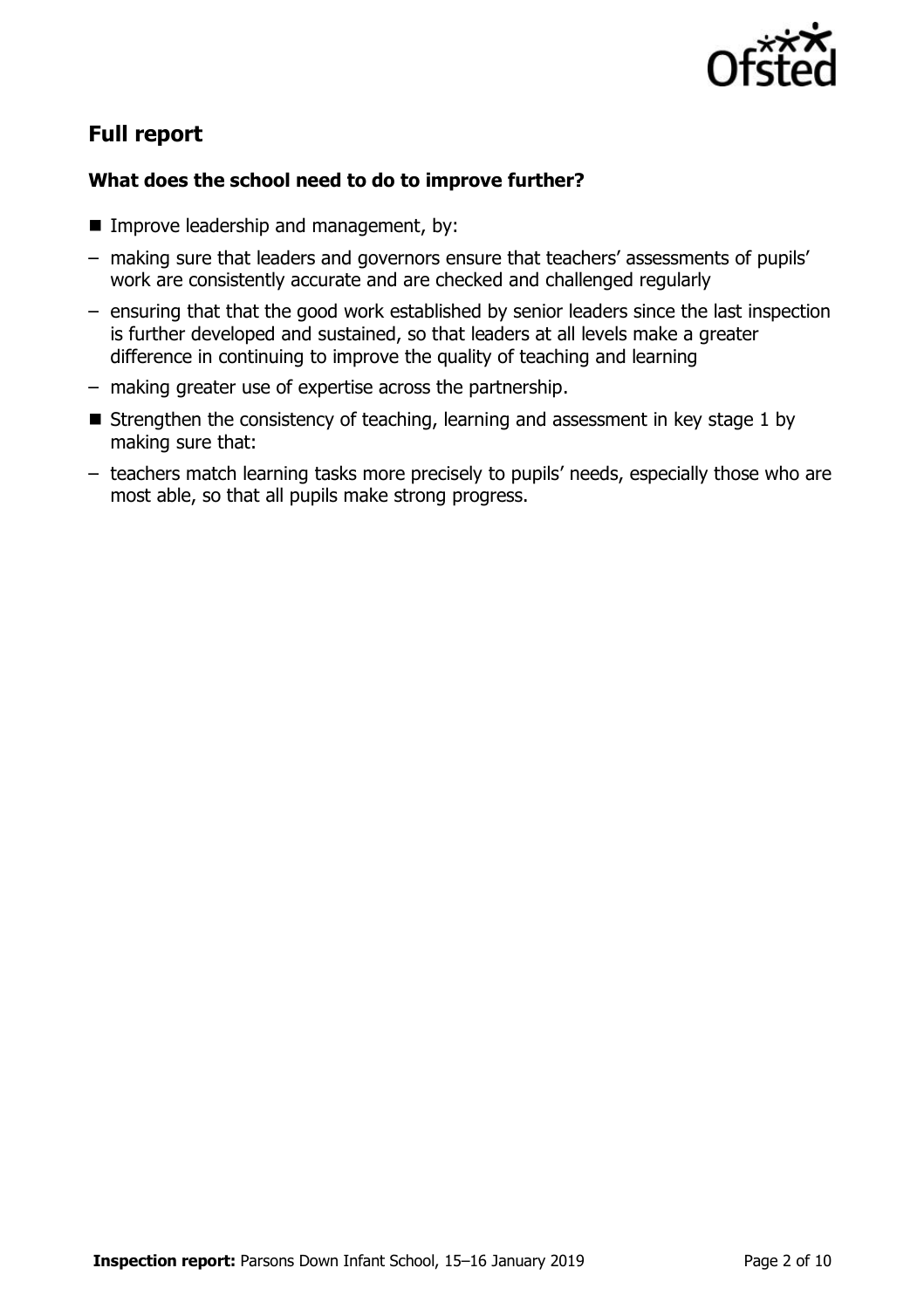

# **Full report**

### **What does the school need to do to improve further?**

- **Improve leadership and management, by:**
- making sure that leaders and governors ensure that teachers' assessments of pupils' work are consistently accurate and are checked and challenged regularly
- ensuring that that the good work established by senior leaders since the last inspection is further developed and sustained, so that leaders at all levels make a greater difference in continuing to improve the quality of teaching and learning
- making greater use of expertise across the partnership.
- Strengthen the consistency of teaching, learning and assessment in key stage 1 by making sure that:
- teachers match learning tasks more precisely to pupils' needs, especially those who are most able, so that all pupils make strong progress.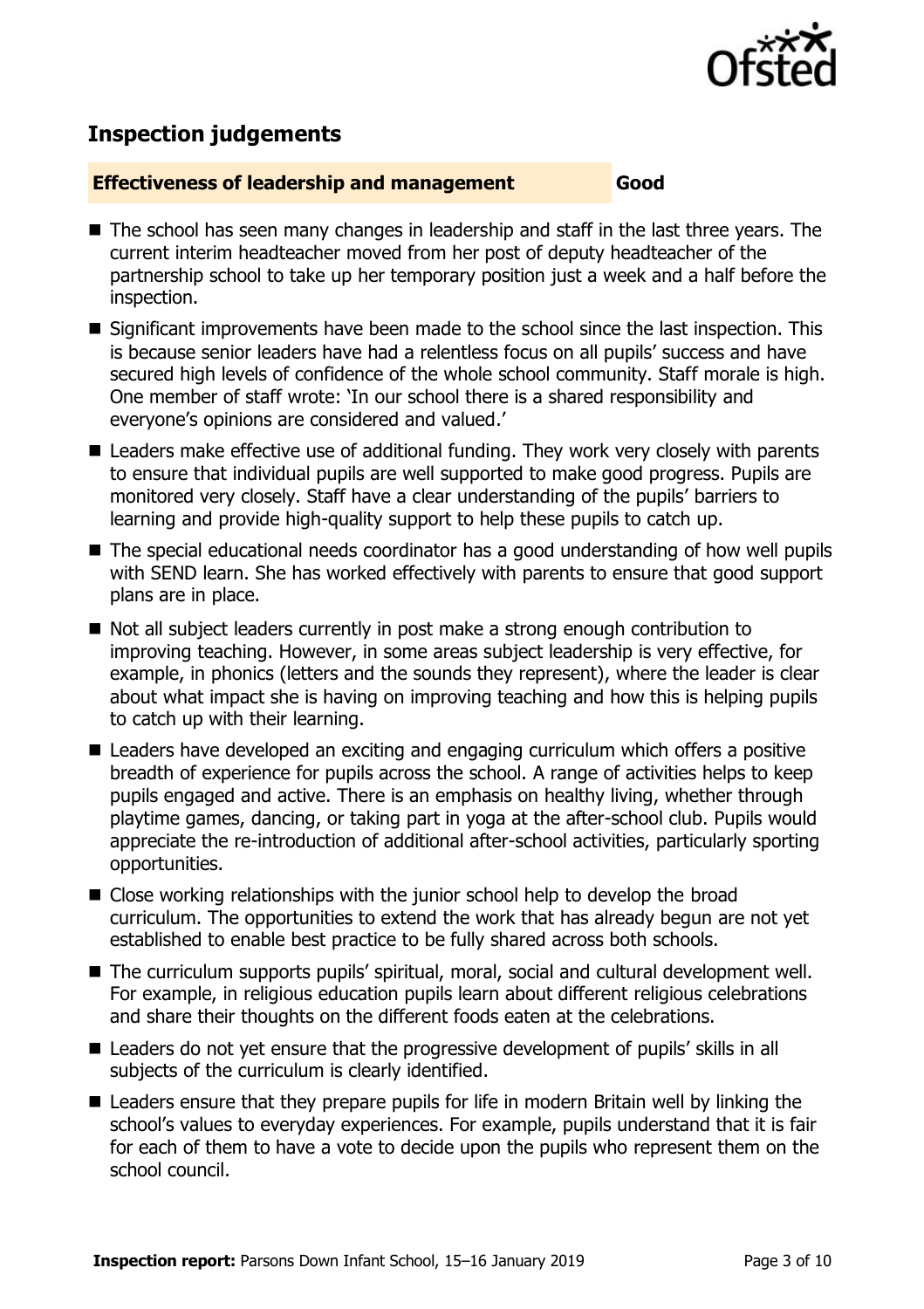

# **Inspection judgements**

#### **Effectiveness of leadership and management Good**

- The school has seen many changes in leadership and staff in the last three years. The current interim headteacher moved from her post of deputy headteacher of the partnership school to take up her temporary position just a week and a half before the inspection.
- Significant improvements have been made to the school since the last inspection. This is because senior leaders have had a relentless focus on all pupils' success and have secured high levels of confidence of the whole school community. Staff morale is high. One member of staff wrote: 'In our school there is a shared responsibility and everyone's opinions are considered and valued.'
- Leaders make effective use of additional funding. They work very closely with parents to ensure that individual pupils are well supported to make good progress. Pupils are monitored very closely. Staff have a clear understanding of the pupils' barriers to learning and provide high-quality support to help these pupils to catch up.
- The special educational needs coordinator has a good understanding of how well pupils with SEND learn. She has worked effectively with parents to ensure that good support plans are in place.
- Not all subject leaders currently in post make a strong enough contribution to improving teaching. However, in some areas subject leadership is very effective, for example, in phonics (letters and the sounds they represent), where the leader is clear about what impact she is having on improving teaching and how this is helping pupils to catch up with their learning.
- Leaders have developed an exciting and engaging curriculum which offers a positive breadth of experience for pupils across the school. A range of activities helps to keep pupils engaged and active. There is an emphasis on healthy living, whether through playtime games, dancing, or taking part in yoga at the after-school club. Pupils would appreciate the re-introduction of additional after-school activities, particularly sporting opportunities.
- Close working relationships with the junior school help to develop the broad curriculum. The opportunities to extend the work that has already begun are not yet established to enable best practice to be fully shared across both schools.
- The curriculum supports pupils' spiritual, moral, social and cultural development well. For example, in religious education pupils learn about different religious celebrations and share their thoughts on the different foods eaten at the celebrations.
- Leaders do not yet ensure that the progressive development of pupils' skills in all subjects of the curriculum is clearly identified.
- Leaders ensure that they prepare pupils for life in modern Britain well by linking the school's values to everyday experiences. For example, pupils understand that it is fair for each of them to have a vote to decide upon the pupils who represent them on the school council.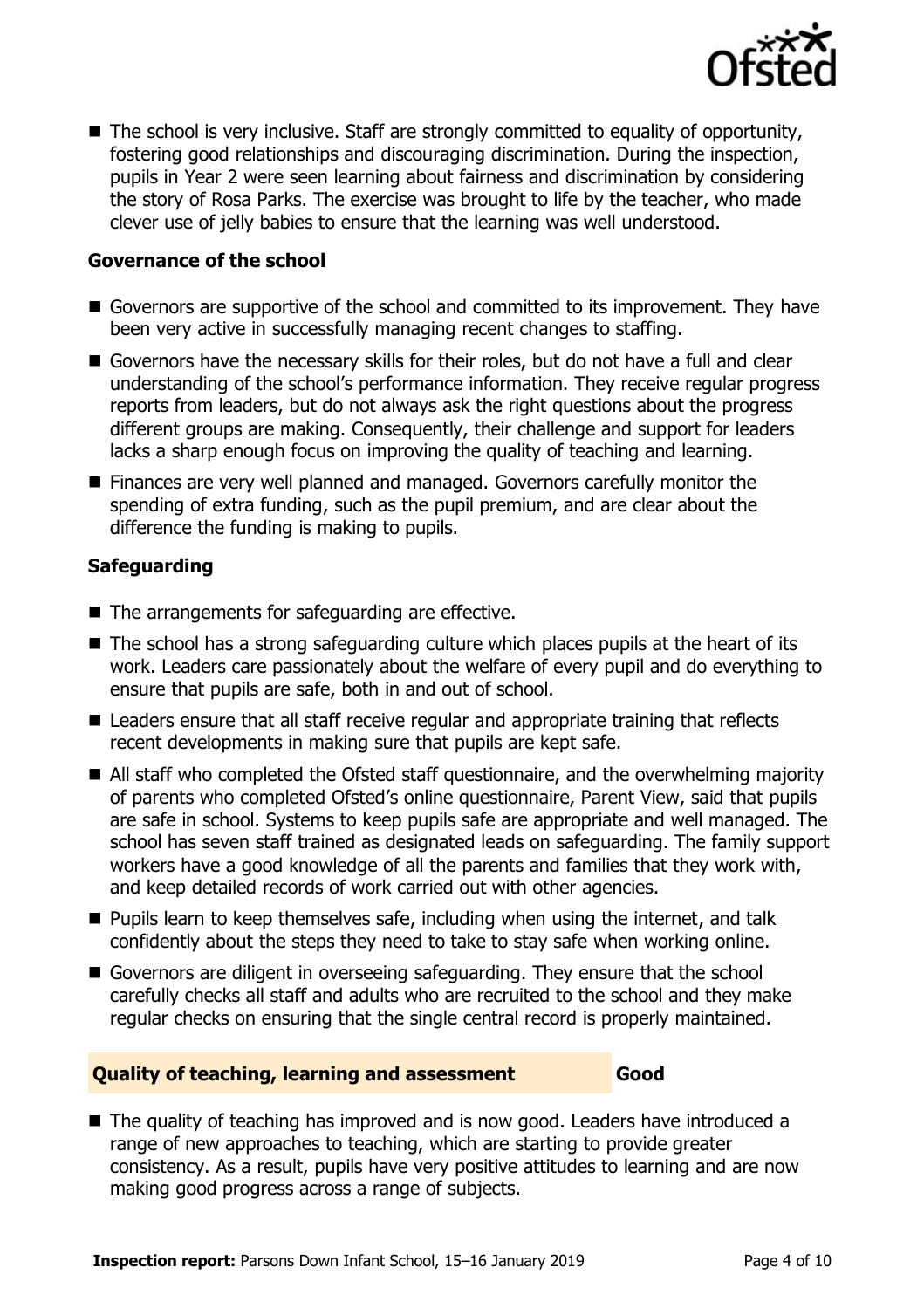

■ The school is very inclusive. Staff are strongly committed to equality of opportunity, fostering good relationships and discouraging discrimination. During the inspection, pupils in Year 2 were seen learning about fairness and discrimination by considering the story of Rosa Parks. The exercise was brought to life by the teacher, who made clever use of jelly babies to ensure that the learning was well understood.

#### **Governance of the school**

- Governors are supportive of the school and committed to its improvement. They have been very active in successfully managing recent changes to staffing.
- Governors have the necessary skills for their roles, but do not have a full and clear understanding of the school's performance information. They receive regular progress reports from leaders, but do not always ask the right questions about the progress different groups are making. Consequently, their challenge and support for leaders lacks a sharp enough focus on improving the quality of teaching and learning.
- **Finances are very well planned and managed. Governors carefully monitor the** spending of extra funding, such as the pupil premium, and are clear about the difference the funding is making to pupils.

#### **Safeguarding**

- The arrangements for safeguarding are effective.
- $\blacksquare$  The school has a strong safeguarding culture which places pupils at the heart of its work. Leaders care passionately about the welfare of every pupil and do everything to ensure that pupils are safe, both in and out of school.
- Leaders ensure that all staff receive regular and appropriate training that reflects recent developments in making sure that pupils are kept safe.
- All staff who completed the Ofsted staff questionnaire, and the overwhelming majority of parents who completed Ofsted's online questionnaire, Parent View, said that pupils are safe in school. Systems to keep pupils safe are appropriate and well managed. The school has seven staff trained as designated leads on safeguarding. The family support workers have a good knowledge of all the parents and families that they work with, and keep detailed records of work carried out with other agencies.
- $\blacksquare$  Pupils learn to keep themselves safe, including when using the internet, and talk confidently about the steps they need to take to stay safe when working online.
- Governors are diligent in overseeing safeguarding. They ensure that the school carefully checks all staff and adults who are recruited to the school and they make regular checks on ensuring that the single central record is properly maintained.

#### **Quality of teaching, learning and assessment Good**

■ The quality of teaching has improved and is now good. Leaders have introduced a range of new approaches to teaching, which are starting to provide greater consistency. As a result, pupils have very positive attitudes to learning and are now making good progress across a range of subjects.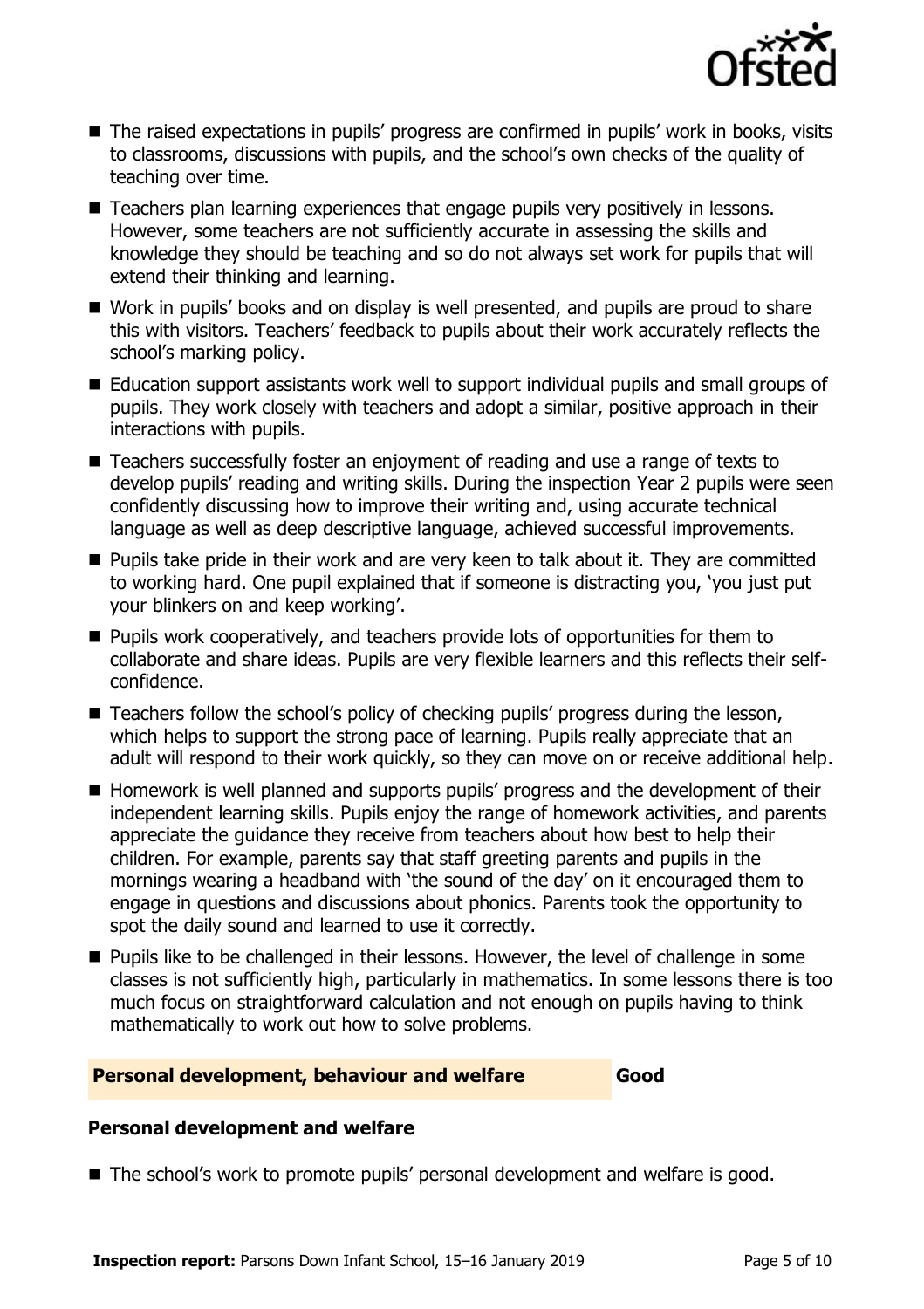

- The raised expectations in pupils' progress are confirmed in pupils' work in books, visits to classrooms, discussions with pupils, and the school's own checks of the quality of teaching over time.
- Teachers plan learning experiences that engage pupils very positively in lessons. However, some teachers are not sufficiently accurate in assessing the skills and knowledge they should be teaching and so do not always set work for pupils that will extend their thinking and learning.
- Work in pupils' books and on display is well presented, and pupils are proud to share this with visitors. Teachers' feedback to pupils about their work accurately reflects the school's marking policy.
- Education support assistants work well to support individual pupils and small groups of pupils. They work closely with teachers and adopt a similar, positive approach in their interactions with pupils.
- Teachers successfully foster an enjoyment of reading and use a range of texts to develop pupils' reading and writing skills. During the inspection Year 2 pupils were seen confidently discussing how to improve their writing and, using accurate technical language as well as deep descriptive language, achieved successful improvements.
- **Pupils take pride in their work and are very keen to talk about it. They are committed** to working hard. One pupil explained that if someone is distracting you, 'you just put your blinkers on and keep working'.
- **Pupils work cooperatively, and teachers provide lots of opportunities for them to** collaborate and share ideas. Pupils are very flexible learners and this reflects their selfconfidence.
- Teachers follow the school's policy of checking pupils' progress during the lesson, which helps to support the strong pace of learning. Pupils really appreciate that an adult will respond to their work quickly, so they can move on or receive additional help.
- Homework is well planned and supports pupils' progress and the development of their independent learning skills. Pupils enjoy the range of homework activities, and parents appreciate the guidance they receive from teachers about how best to help their children. For example, parents say that staff greeting parents and pupils in the mornings wearing a headband with 'the sound of the day' on it encouraged them to engage in questions and discussions about phonics. Parents took the opportunity to spot the daily sound and learned to use it correctly.
- **Pupils like to be challenged in their lessons. However, the level of challenge in some** classes is not sufficiently high, particularly in mathematics. In some lessons there is too much focus on straightforward calculation and not enough on pupils having to think mathematically to work out how to solve problems.

#### **Personal development, behaviour and welfare Good**

#### **Personal development and welfare**

■ The school's work to promote pupils' personal development and welfare is good.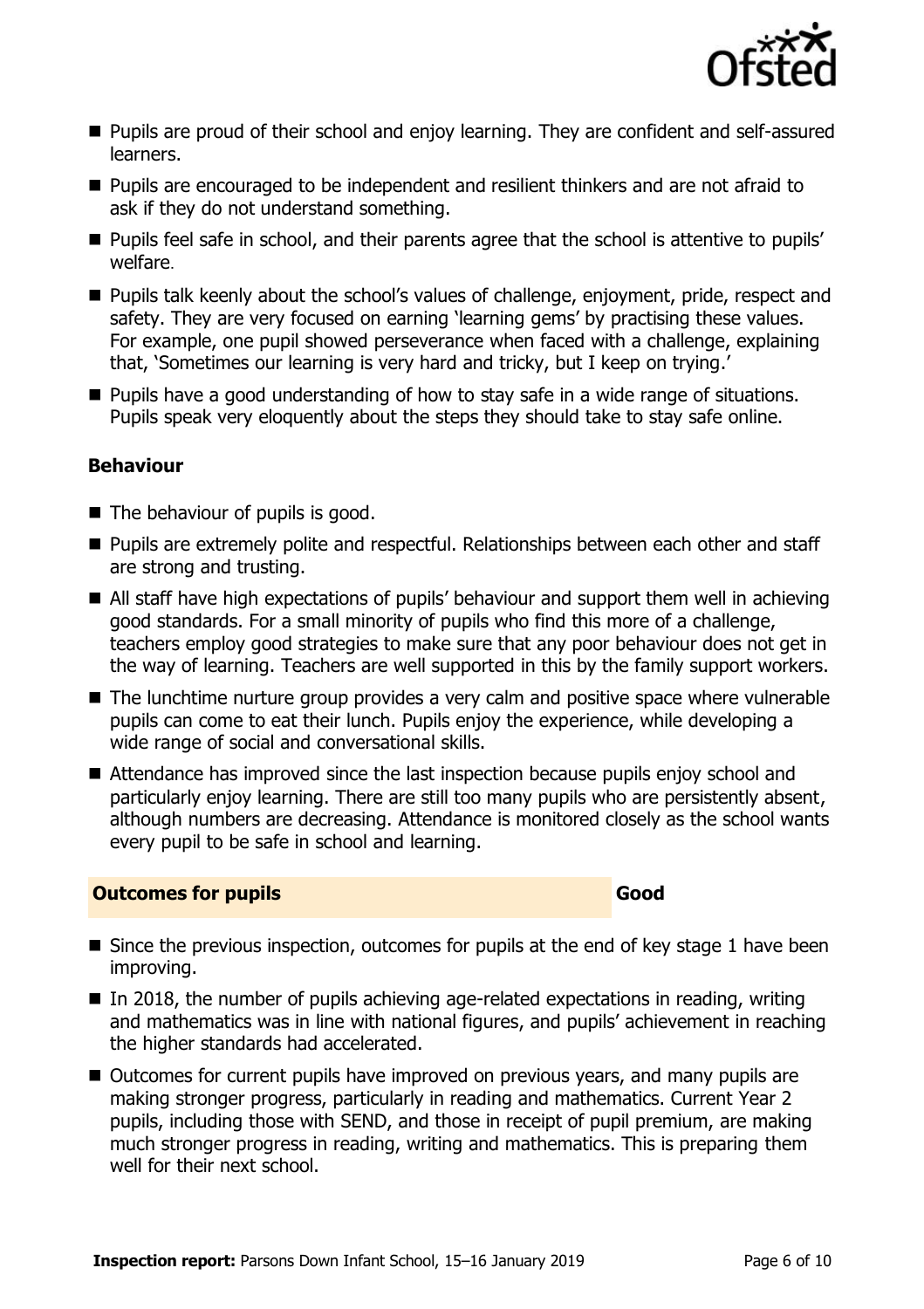

- **Pupils are proud of their school and enjoy learning. They are confident and self-assured** learners.
- **Pupils are encouraged to be independent and resilient thinkers and are not afraid to** ask if they do not understand something.
- **Pupils feel safe in school, and their parents agree that the school is attentive to pupils'** welfare.
- **Pupils talk keenly about the school's values of challenge, enjoyment, pride, respect and** safety. They are very focused on earning 'learning gems' by practising these values. For example, one pupil showed perseverance when faced with a challenge, explaining that, 'Sometimes our learning is very hard and tricky, but I keep on trying.'
- **Pupils have a good understanding of how to stay safe in a wide range of situations.** Pupils speak very eloquently about the steps they should take to stay safe online.

#### **Behaviour**

- The behaviour of pupils is good.
- **Pupils are extremely polite and respectful. Relationships between each other and staff** are strong and trusting.
- All staff have high expectations of pupils' behaviour and support them well in achieving good standards. For a small minority of pupils who find this more of a challenge, teachers employ good strategies to make sure that any poor behaviour does not get in the way of learning. Teachers are well supported in this by the family support workers.
- The lunchtime nurture group provides a very calm and positive space where vulnerable pupils can come to eat their lunch. Pupils enjoy the experience, while developing a wide range of social and conversational skills.
- Attendance has improved since the last inspection because pupils enjoy school and particularly enjoy learning. There are still too many pupils who are persistently absent, although numbers are decreasing. Attendance is monitored closely as the school wants every pupil to be safe in school and learning.

#### **Outcomes for pupils Good**

- Since the previous inspection, outcomes for pupils at the end of key stage 1 have been improving.
- $\blacksquare$  In 2018, the number of pupils achieving age-related expectations in reading, writing and mathematics was in line with national figures, and pupils' achievement in reaching the higher standards had accelerated.
- Outcomes for current pupils have improved on previous vears, and many pupils are making stronger progress, particularly in reading and mathematics. Current Year 2 pupils, including those with SEND, and those in receipt of pupil premium, are making much stronger progress in reading, writing and mathematics. This is preparing them well for their next school.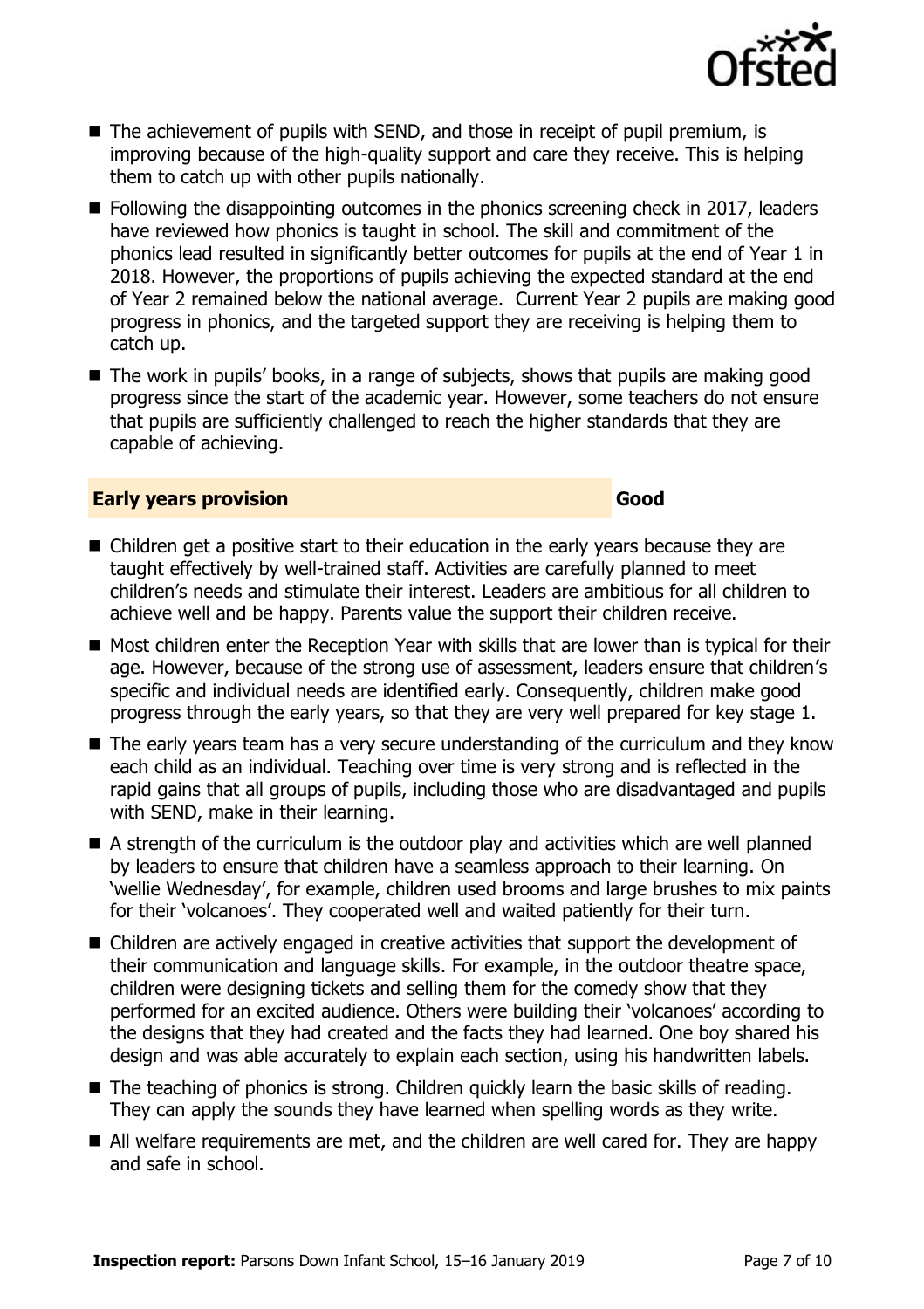

- The achievement of pupils with SEND, and those in receipt of pupil premium, is improving because of the high-quality support and care they receive. This is helping them to catch up with other pupils nationally.
- Following the disappointing outcomes in the phonics screening check in 2017, leaders have reviewed how phonics is taught in school. The skill and commitment of the phonics lead resulted in significantly better outcomes for pupils at the end of Year 1 in 2018. However, the proportions of pupils achieving the expected standard at the end of Year 2 remained below the national average. Current Year 2 pupils are making good progress in phonics, and the targeted support they are receiving is helping them to catch up.
- The work in pupils' books, in a range of subjects, shows that pupils are making good progress since the start of the academic year. However, some teachers do not ensure that pupils are sufficiently challenged to reach the higher standards that they are capable of achieving.

#### **Early years provision Good Good**

- Children get a positive start to their education in the early years because they are taught effectively by well-trained staff. Activities are carefully planned to meet children's needs and stimulate their interest. Leaders are ambitious for all children to achieve well and be happy. Parents value the support their children receive.
- Most children enter the Reception Year with skills that are lower than is typical for their age. However, because of the strong use of assessment, leaders ensure that children's specific and individual needs are identified early. Consequently, children make good progress through the early years, so that they are very well prepared for key stage 1.
- The early years team has a very secure understanding of the curriculum and they know each child as an individual. Teaching over time is very strong and is reflected in the rapid gains that all groups of pupils, including those who are disadvantaged and pupils with SEND, make in their learning.
- A strength of the curriculum is the outdoor play and activities which are well planned by leaders to ensure that children have a seamless approach to their learning. On 'wellie Wednesday', for example, children used brooms and large brushes to mix paints for their 'volcanoes'. They cooperated well and waited patiently for their turn.
- Children are actively engaged in creative activities that support the development of their communication and language skills. For example, in the outdoor theatre space, children were designing tickets and selling them for the comedy show that they performed for an excited audience. Others were building their 'volcanoes' according to the designs that they had created and the facts they had learned. One boy shared his design and was able accurately to explain each section, using his handwritten labels.
- The teaching of phonics is strong. Children quickly learn the basic skills of reading. They can apply the sounds they have learned when spelling words as they write.
- All welfare requirements are met, and the children are well cared for. They are happy and safe in school.

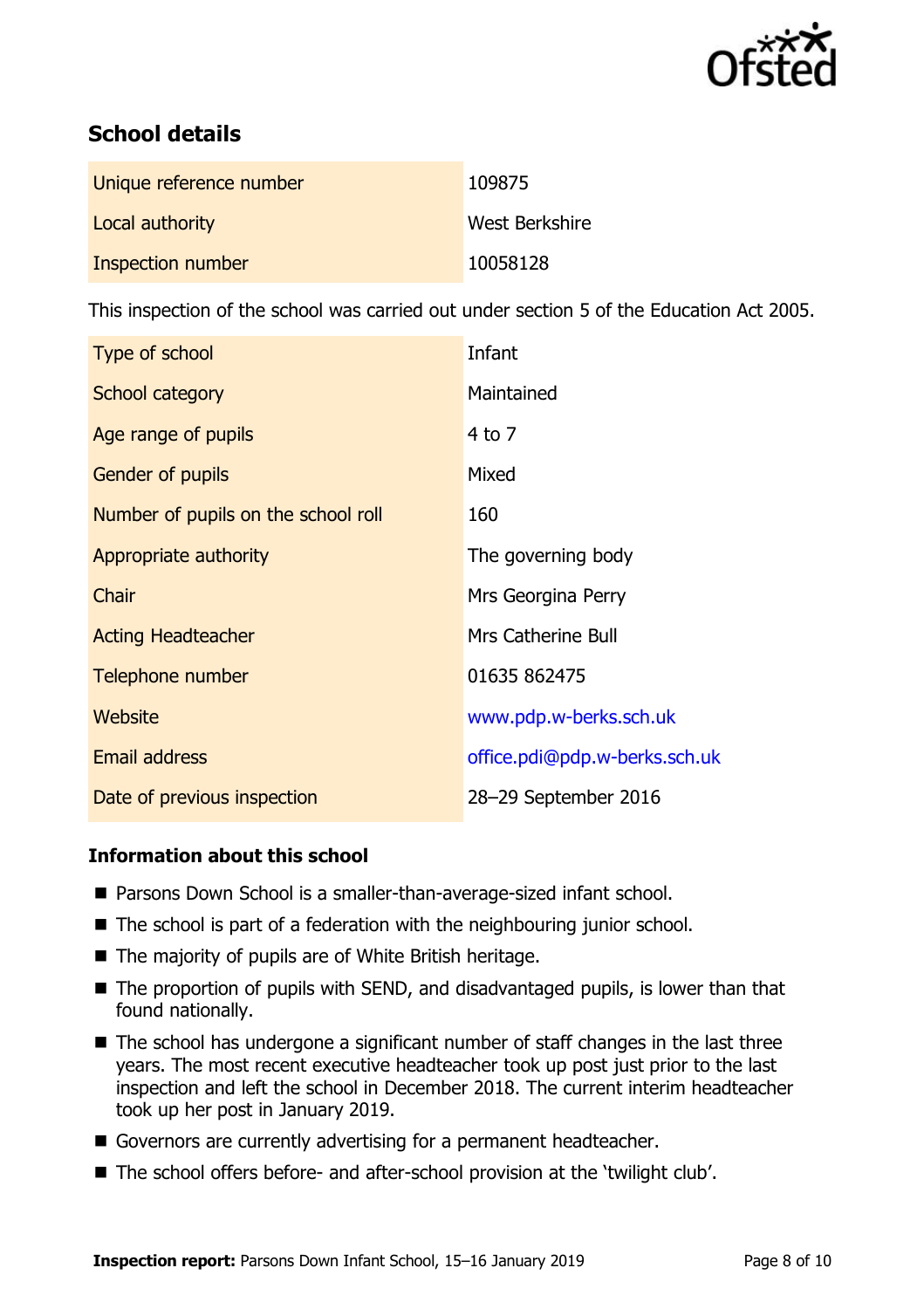

# **School details**

| Unique reference number | 109875         |
|-------------------------|----------------|
| Local authority         | West Berkshire |
| Inspection number       | 10058128       |

This inspection of the school was carried out under section 5 of the Education Act 2005.

| Type of school                      | Infant                        |
|-------------------------------------|-------------------------------|
| School category                     | Maintained                    |
| Age range of pupils                 | $4$ to $7$                    |
| Gender of pupils                    | Mixed                         |
| Number of pupils on the school roll | 160                           |
| Appropriate authority               | The governing body            |
| Chair                               | Mrs Georgina Perry            |
| <b>Acting Headteacher</b>           | <b>Mrs Catherine Bull</b>     |
| Telephone number                    | 01635 862475                  |
| Website                             | www.pdp.w-berks.sch.uk        |
| <b>Email address</b>                | office.pdi@pdp.w-berks.sch.uk |
| Date of previous inspection         | 28-29 September 2016          |

#### **Information about this school**

- Parsons Down School is a smaller-than-average-sized infant school.
- $\blacksquare$  The school is part of a federation with the neighbouring junior school.
- $\blacksquare$  The majority of pupils are of White British heritage.
- The proportion of pupils with SEND, and disadvantaged pupils, is lower than that found nationally.
- The school has undergone a significant number of staff changes in the last three years. The most recent executive headteacher took up post just prior to the last inspection and left the school in December 2018. The current interim headteacher took up her post in January 2019.
- Governors are currently advertising for a permanent headteacher.
- The school offers before- and after-school provision at the 'twilight club'.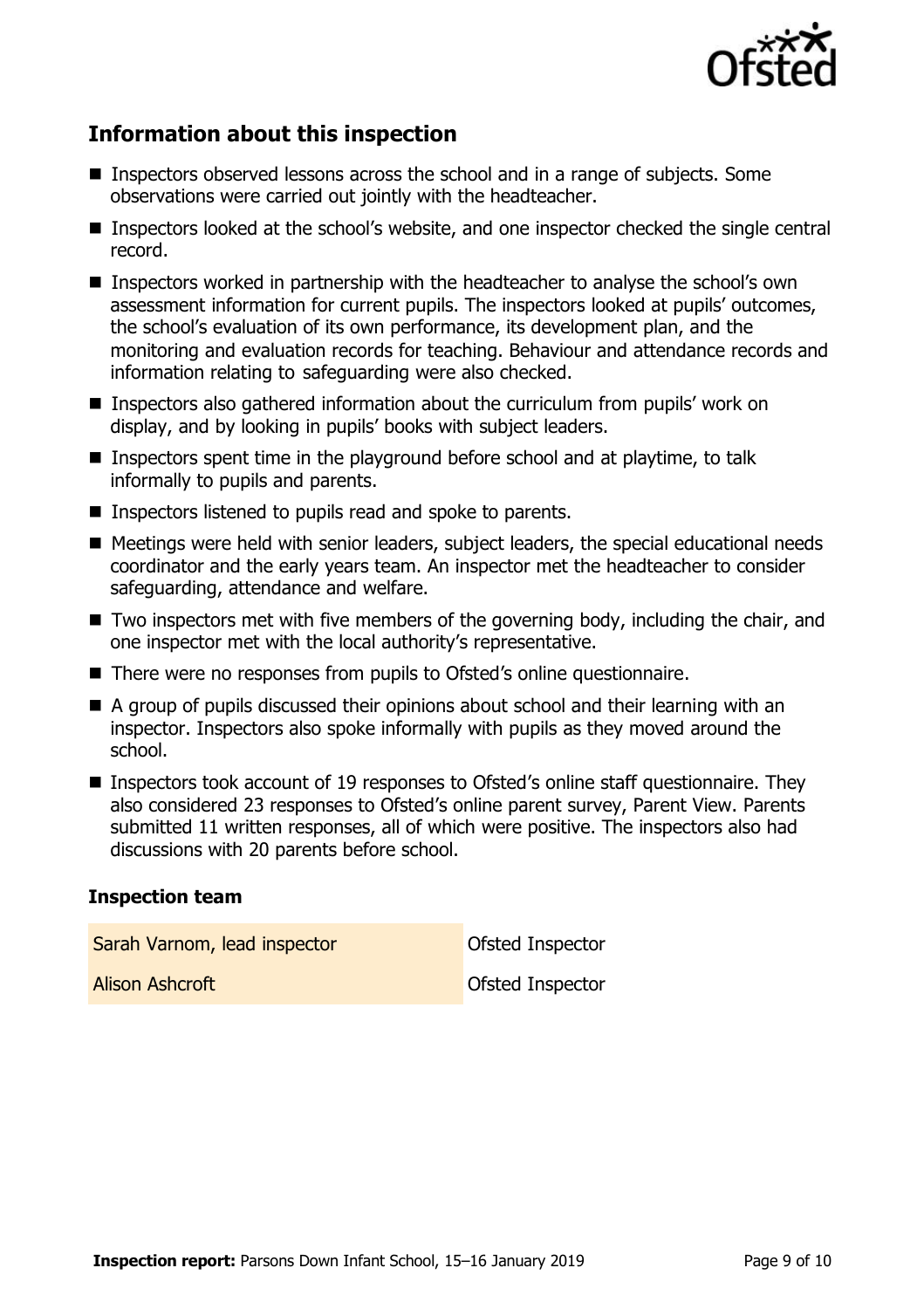

# **Information about this inspection**

- Inspectors observed lessons across the school and in a range of subjects. Some observations were carried out jointly with the headteacher.
- Inspectors looked at the school's website, and one inspector checked the single central record.
- Inspectors worked in partnership with the headteacher to analyse the school's own assessment information for current pupils. The inspectors looked at pupils' outcomes, the school's evaluation of its own performance, its development plan, and the monitoring and evaluation records for teaching. Behaviour and attendance records and information relating to safeguarding were also checked.
- Inspectors also gathered information about the curriculum from pupils' work on display, and by looking in pupils' books with subject leaders.
- Inspectors spent time in the playground before school and at playtime, to talk informally to pupils and parents.
- Inspectors listened to pupils read and spoke to parents.
- Meetings were held with senior leaders, subject leaders, the special educational needs coordinator and the early years team. An inspector met the headteacher to consider safeguarding, attendance and welfare.
- Two inspectors met with five members of the governing body, including the chair, and one inspector met with the local authority's representative.
- There were no responses from pupils to Ofsted's online questionnaire.
- A group of pupils discussed their opinions about school and their learning with an inspector. Inspectors also spoke informally with pupils as they moved around the school.
- Inspectors took account of 19 responses to Ofsted's online staff questionnaire. They also considered 23 responses to Ofsted's online parent survey, Parent View. Parents submitted 11 written responses, all of which were positive. The inspectors also had discussions with 20 parents before school.

#### **Inspection team**

| Sarah Varnom, lead inspector | Ofsted Inspector |
|------------------------------|------------------|
| Alison Ashcroft              | Ofsted Inspector |